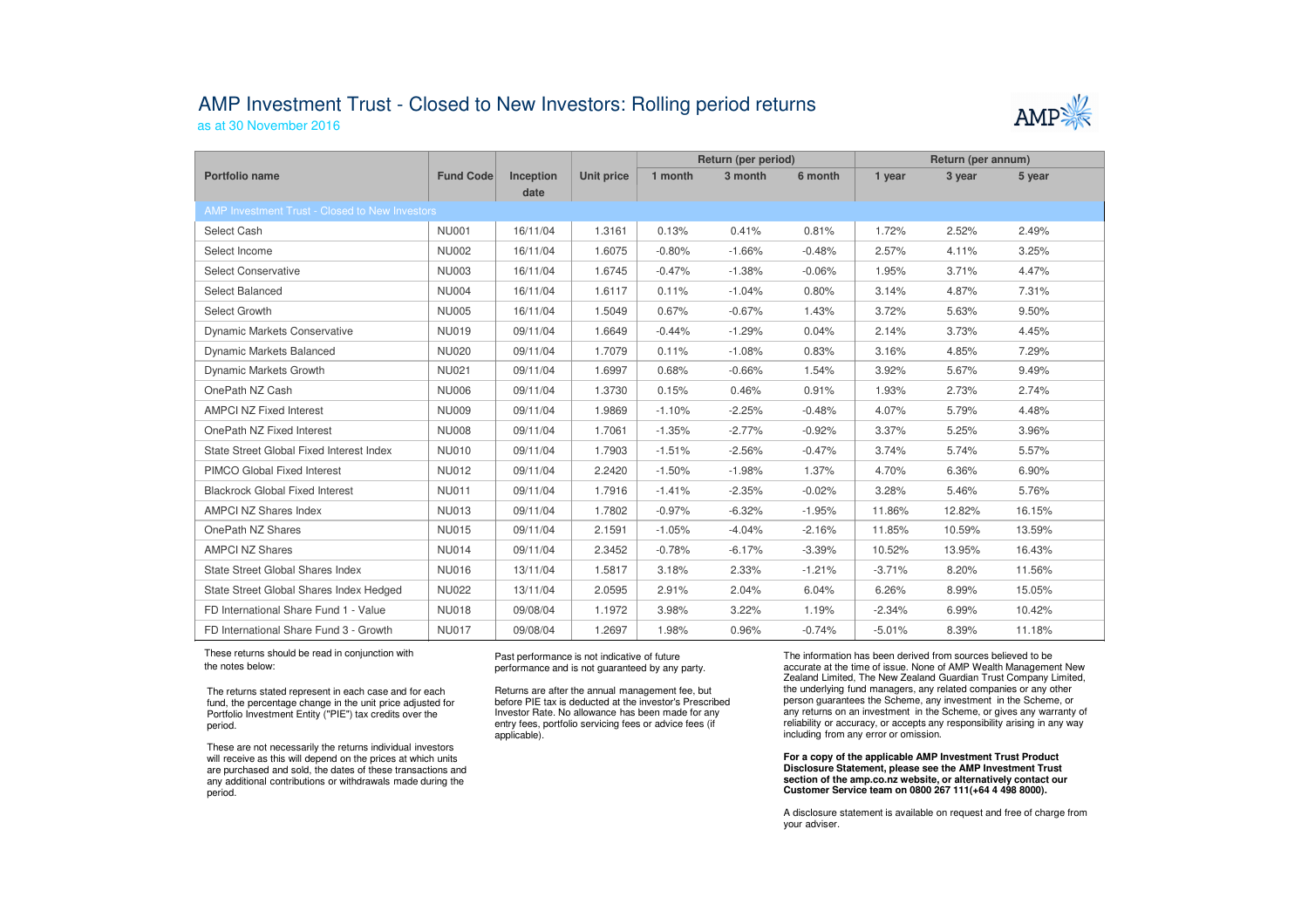## AMP Investment Trust - Closed to New Investors: Rolling period returns

as at 30 November 2016

|                                                |                  |                   |                   | Return (per period) |          |          | Return (per annum) |        |        |  |  |  |
|------------------------------------------------|------------------|-------------------|-------------------|---------------------|----------|----------|--------------------|--------|--------|--|--|--|
| Portfolio name                                 | <b>Fund Code</b> | Inception<br>date | <b>Unit price</b> | 1 month             | 3 month  | 6 month  | 1 year             | 3 year | 5 year |  |  |  |
| AMP Investment Trust - Closed to New Investors |                  |                   |                   |                     |          |          |                    |        |        |  |  |  |
| Select Cash                                    | <b>NU001</b>     | 16/11/04          | 1.3161            | 0.13%               | 0.41%    | 0.81%    | 1.72%              | 2.52%  | 2.49%  |  |  |  |
| Select Income                                  | <b>NU002</b>     | 16/11/04          | 1.6075            | $-0.80%$            | $-1.66%$ | $-0.48%$ | 2.57%              | 4.11%  | 3.25%  |  |  |  |
| Select Conservative                            | <b>NU003</b>     | 16/11/04          | 1.6745            | $-0.47%$            | $-1.38%$ | $-0.06%$ | 1.95%              | 3.71%  | 4.47%  |  |  |  |
| Select Balanced                                | <b>NU004</b>     | 16/11/04          | 1.6117            | 0.11%               | $-1.04%$ | 0.80%    | 3.14%              | 4.87%  | 7.31%  |  |  |  |
| Select Growth                                  | <b>NU005</b>     | 16/11/04          | 1.5049            | 0.67%               | $-0.67%$ | 1.43%    | 3.72%              | 5.63%  | 9.50%  |  |  |  |
| <b>Dynamic Markets Conservative</b>            | <b>NU019</b>     | 09/11/04          | 1.6649            | $-0.44%$            | $-1.29%$ | 0.04%    | 2.14%              | 3.73%  | 4.45%  |  |  |  |
| <b>Dynamic Markets Balanced</b>                | <b>NU020</b>     | 09/11/04          | 1.7079            | 0.11%               | $-1.08%$ | 0.83%    | 3.16%              | 4.85%  | 7.29%  |  |  |  |
| Dynamic Markets Growth                         | <b>NU021</b>     | 09/11/04          | 1.6997            | 0.68%               | $-0.66%$ | 1.54%    | 3.92%              | 5.67%  | 9.49%  |  |  |  |
| OnePath NZ Cash                                | <b>NU006</b>     | 09/11/04          | 1.3730            | 0.15%               | 0.46%    | 0.91%    | 1.93%              | 2.73%  | 2.74%  |  |  |  |
| <b>AMPCI NZ Fixed Interest</b>                 | <b>NU009</b>     | 09/11/04          | 1.9869            | $-1.10%$            | $-2.25%$ | $-0.48%$ | 4.07%              | 5.79%  | 4.48%  |  |  |  |
| OnePath NZ Fixed Interest                      | <b>NU008</b>     | 09/11/04          | 1.7061            | $-1.35%$            | $-2.77%$ | $-0.92%$ | 3.37%              | 5.25%  | 3.96%  |  |  |  |
| State Street Global Fixed Interest Index       | <b>NU010</b>     | 09/11/04          | 1.7903            | $-1.51%$            | $-2.56%$ | $-0.47%$ | 3.74%              | 5.74%  | 5.57%  |  |  |  |
| PIMCO Global Fixed Interest                    | <b>NU012</b>     | 09/11/04          | 2.2420            | $-1.50%$            | $-1.98%$ | 1.37%    | 4.70%              | 6.36%  | 6.90%  |  |  |  |
| <b>Blackrock Global Fixed Interest</b>         | <b>NU011</b>     | 09/11/04          | 1.7916            | $-1.41%$            | $-2.35%$ | $-0.02%$ | 3.28%              | 5.46%  | 5.76%  |  |  |  |
| <b>AMPCI NZ Shares Index</b>                   | <b>NU013</b>     | 09/11/04          | 1.7802            | $-0.97%$            | $-6.32%$ | $-1.95%$ | 11.86%             | 12.82% | 16.15% |  |  |  |
| OnePath NZ Shares                              | <b>NU015</b>     | 09/11/04          | 2.1591            | $-1.05%$            | $-4.04%$ | $-2.16%$ | 11.85%             | 10.59% | 13.59% |  |  |  |
| <b>AMPCI NZ Shares</b>                         | <b>NU014</b>     | 09/11/04          | 2.3452            | $-0.78%$            | $-6.17%$ | $-3.39%$ | 10.52%             | 13.95% | 16.43% |  |  |  |
| State Street Global Shares Index               | <b>NU016</b>     | 13/11/04          | 1.5817            | 3.18%               | 2.33%    | $-1.21%$ | $-3.71%$           | 8.20%  | 11.56% |  |  |  |
| State Street Global Shares Index Hedged        | <b>NU022</b>     | 13/11/04          | 2.0595            | 2.91%               | 2.04%    | 6.04%    | 6.26%              | 8.99%  | 15.05% |  |  |  |
| FD International Share Fund 1 - Value          | <b>NU018</b>     | 09/08/04          | 1.1972            | 3.98%               | 3.22%    | 1.19%    | $-2.34%$           | 6.99%  | 10.42% |  |  |  |
| FD International Share Fund 3 - Growth         | <b>NU017</b>     | 09/08/04          | 1.2697            | 1.98%               | 0.96%    | $-0.74%$ | $-5.01%$           | 8.39%  | 11.18% |  |  |  |

 These returns should be read in conjunction with the notes below:

Cash Management Account

The returns stated represent in each case and for each fund, the percentage change in the unit price adjusted for Portfolio Investment Entity ("PIE") tax credits over the period.

These are not necessarily the returns individual investors will receive as this will depend on the prices at which units are purchased and sold, the dates of these transactions and any additional contributions or withdrawals made during the period.

Past performance is not indicative of future performance and is not guaranteed by any party.

Returns are after the annual management fee, but before PIE tax is deducted at the investor's Prescribed Investor Rate. No allowance has been made for any entry fees, portfolio servicing fees or advice fees (if applicable).

The information has been derived from sources believed to be accurate at the time of issue. None of AMP Wealth Management New Zealand Limited, The New Zealand Guardian Trust Company Limited, the underlying fund managers, any related companies or any other person guarantees the Scheme, any investment in the Scheme, or any returns on an investment in the Scheme, or gives any warranty of reliability or accuracy, or accepts any responsibility arising in any way including from any error or omission.

**For a copy of the applicable AMP Investment Trust Product Disclosure Statement, please see the AMP Investment Trust section of the amp.co.nz website, or alternatively contact our Customer Service team on 0800 267 111(+64 4 498 8000).**

A disclosure statement is available on request and free of charge from your adviser.